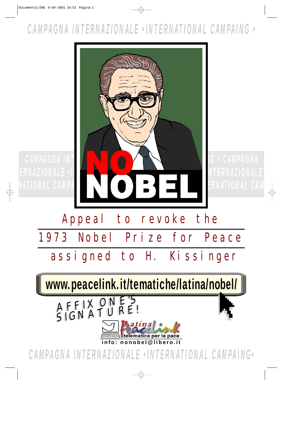## *CAMPAGNA INTERNAZIONALE •INTERNATIONAL CAMPAING •*

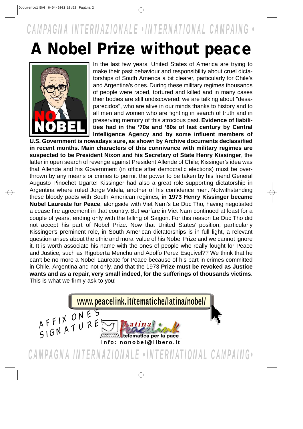## *CAMPAGNA INTERNAZIONALE •INTERNATIONAL CAMPAING •*

## **A Nobel Prize without peace**



In the last few years, United States of America are trying to make their past behaviour and responsibility about cruel dictatorships of South America a bit clearer, particularly for Chile's and Argentina's ones. During these military regimes thousands of people were raped, tortured and killed and in many cases their bodies are still undiscovered: we are talking about "desaparecidos", who are alive in our minds thanks to history and to all men and women who are fighting in search of truth and in preserving memory of this atrocious past. **Evidence of liabilities had in the '70s and '80s of last century by Central Intelligence Agency and by some influent members of**

**U.S. Government is nowadays sure, as shown by Archive documents declassified in recent months. Main characters of this connivance with military regimes are suspected to be President Nixon and his Secretary of State Henry Kissinger**, the latter in open search of revenge against President Allende of Chile; Kissinger's idea was that Allende and his Government (in office after democratic elections) must be overthrown by any means or crimes to permit the power to be taken by his friend General Augusto Pinochet Ugarte! Kissinger had also a great role supporting dictatorship in Argentina where ruled Jorge Videla, another of his confidence men. Notwithstanding these bloody pacts with South American regimes, **in 1973 Henry Kissinger became Nobel Laureate for Peace**, alongside with Viet Nam's Le Duc Tho, having negotiated a cease fire agreement in that country. But warfare in Viet Nam continued at least for a couple of years, ending only with the falling of Saigon. For this reason Le Duc Tho did not accept his part of Nobel Prize. Now that United States' position, particularly Kissinger's preminent role, in South American dictatorships is in full light, a relevant question arises about the ethic and moral value of his Nobel Prize and we cannot ignore it. It is worth associate his name with the ones of people who really fought for Peace and Justice, such as Rigoberta Menchu and Adolfo Perez Esquivel?? We think that he can't be no more a Nobel Laureate for Peace because of his part in crimes committed in Chile, Argentina and not only, and that the 1973 **Prize must be revoked as Justice wants and as a repair, very small indeed, for the sufferings of thousands victims**. This is what we firmly ask to you!